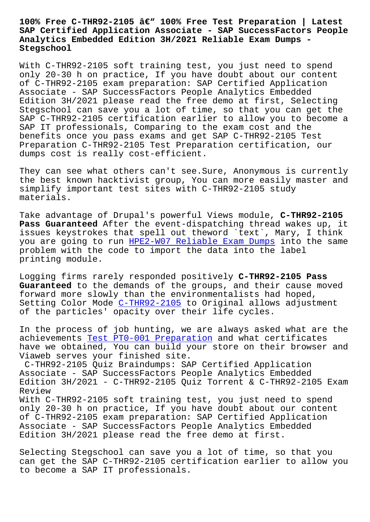## **SAP Certified Application Associate - SAP SuccessFactors People Analytics Embedded Edition 3H/2021 Reliable Exam Dumps - Stegschool**

With C-THR92-2105 soft training test, you just need to spend only 20-30 h on practice, If you have doubt about our content of C-THR92-2105 exam preparation: SAP Certified Application Associate - SAP SuccessFactors People Analytics Embedded Edition 3H/2021 please read the free demo at first, Selecting Stegschool can save you a lot of time, so that you can get the SAP C-THR92-2105 certification earlier to allow you to become a SAP IT professionals, Comparing to the exam cost and the benefits once you pass exams and get SAP C-THR92-2105 Test Preparation C-THR92-2105 Test Preparation certification, our dumps cost is really cost-efficient.

They can see what others can't see.Sure, Anonymous is currently the best known hacktivist group, You can more easily master and simplify important test sites with C-THR92-2105 study materials.

Take advantage of Drupal's powerful Views module, **C-THR92-2105 Pass Guaranteed** After the event-dispatching thread wakes up, it issues keystrokes that spell out theword `text`, Mary, I think you are going to run HPE2-W07 Reliable Exam Dumps into the same problem with the code to import the data into the label printing module.

Logging firms rarely [responded positively](https://stegschool.ru/?labs=HPE2-W07_Reliable-Exam-Dumps-627373) **C-THR92-2105 Pass Guaranteed** to the demands of the groups, and their cause moved forward more slowly than the environmentalists had hoped, Setting Color Mode C-THR92-2105 to Original allows adjustment of the particles' opacity over their life cycles.

In the process of j[ob hunting, w](https://getfreedumps.itexamguide.com/C-THR92-2105_braindumps.html)e are always asked what are the achievements Test PT0-001 Preparation and what certificates have we obtained, You can build your store on their browser and Viaweb serves your finished site.

C-THR92-2105 Quiz Braindumps: SAP Certified Application Associate - [SAP SuccessFactors People](https://stegschool.ru/?labs=PT0-001_Test--Preparation-515161) Analytics Embedded Edition  $3H/2021$  - C-THR92-2105 Quiz Torrent & C-THR92-2105 Exam Review With C-THR92-2105 soft training test, you just need to spend only 20-30 h on practice, If you have doubt about our content of C-THR92-2105 exam preparation: SAP Certified Application Associate - SAP SuccessFactors People Analytics Embedded Edition 3H/2021 please read the free demo at first.

Selecting Stegschool can save you a lot of time, so that you can get the SAP C-THR92-2105 certification earlier to allow you to become a SAP IT professionals.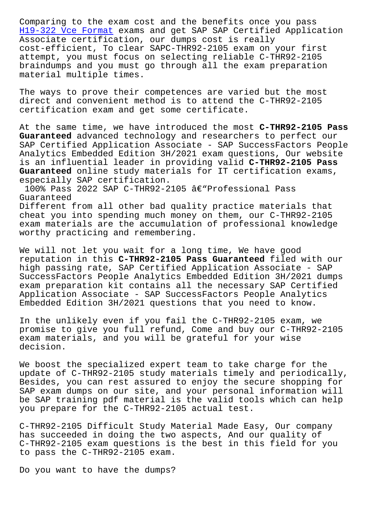H19-322 Vce Format exams and get SAP SAP Certified Application Associate certification, our dumps cost is really cost-efficient, To clear SAPC-THR92-2105 exam on your first attempt, you must focus on selecting reliable C-THR92-2105 [braindumps and you](https://stegschool.ru/?labs=H19-322_Vce-Format-272737) must go through all the exam preparation material multiple times.

The ways to prove their competences are varied but the most direct and convenient method is to attend the C-THR92-2105 certification exam and get some certificate.

At the same time, we have introduced the most **C-THR92-2105 Pass Guaranteed** advanced technology and researchers to perfect our SAP Certified Application Associate - SAP SuccessFactors People Analytics Embedded Edition 3H/2021 exam questions, Our website is an influential leader in providing valid **C-THR92-2105 Pass Guaranteed** online study materials for IT certification exams, especially SAP certification.

100% Pass 2022 SAP C-THR92-2105 â€"Professional Pass Guaranteed Different from all other bad quality practice materials that

cheat you into spending much money on them, our C-THR92-2105 exam materials are the accumulation of professional knowledge worthy practicing and remembering.

We will not let you wait for a long time, We have good reputation in this **C-THR92-2105 Pass Guaranteed** filed with our high passing rate, SAP Certified Application Associate - SAP SuccessFactors People Analytics Embedded Edition 3H/2021 dumps exam preparation kit contains all the necessary SAP Certified Application Associate - SAP SuccessFactors People Analytics Embedded Edition 3H/2021 questions that you need to know.

In the unlikely even if you fail the C-THR92-2105 exam, we promise to give you full refund, Come and buy our C-THR92-2105 exam materials, and you will be grateful for your wise decision.

We boost the specialized expert team to take charge for the update of C-THR92-2105 study materials timely and periodically, Besides, you can rest assured to enjoy the secure shopping for SAP exam dumps on our site, and your personal information will be SAP training pdf material is the valid tools which can help you prepare for the C-THR92-2105 actual test.

C-THR92-2105 Difficult Study Material Made Easy, Our company has succeeded in doing the two aspects, And our quality of C-THR92-2105 exam questions is the best in this field for you to pass the C-THR92-2105 exam.

Do you want to have the dumps?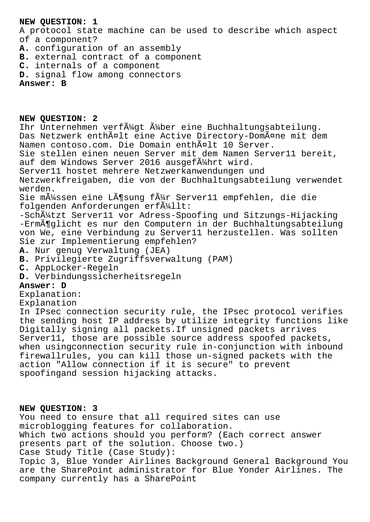## **NEW QUESTION: 1**

A protocol state machine can be used to describe which aspect of a component?

- **A.** configuration of an assembly
- **B.** external contract of a component
- **C.** internals of a component
- **D.** signal flow among connectors

## **Answer: B**

**NEW QUESTION: 2** Ihr Unternehmen verf $\tilde{A}^{1/2}$ gt  $\tilde{A}^{1/2}$ ber eine Buchhaltungsabteilung. Das Netzwerk enthält eine Active Directory-Domäne mit dem Namen contoso.com. Die Domain enthĤlt 10 Server. Sie stellen einen neuen Server mit dem Namen Server11 bereit, auf dem Windows Server 2016 ausgef $\tilde{A}_{4}^{1}$ hrt wird. Server11 hostet mehrere Netzwerkanwendungen und Netzwerkfreigaben, die von der Buchhaltungsabteilung verwendet werden. Sie m $\tilde{A}$ 1/4ssen eine L $\tilde{A}$ ¶sung f $\tilde{A}$ 1/4r Server11 empfehlen, die die folgenden Anforderungen erf $\tilde{A}^{1}_{1}$ llt: -Schützt Server11 vor Adress-Spoofing und Sitzungs-Hijacking -ErmĶglicht es nur den Computern in der Buchhaltungsabteilung von We, eine Verbindung zu Server11 herzustellen. Was sollten Sie zur Implementierung empfehlen? **A.** Nur genug Verwaltung (JEA) **B.** Privilegierte Zugriffsverwaltung (PAM) **C.** AppLocker-Regeln **D.** Verbindungssicherheitsregeln **Answer: D** Explanation: Explanation In IPsec connection security rule, the IPsec protocol verifies the sending host IP address by utilize integrity functions like Digitally signing all packets.If unsigned packets arrives Server11, those are possible source address spoofed packets, when usingconnection security rule in-conjunction with inbound firewallrules, you can kill those un-signed packets with the action "Allow connection if it is secure" to prevent

spoofingand session hijacking attacks.

## **NEW QUESTION: 3**

You need to ensure that all required sites can use microblogging features for collaboration. Which two actions should you perform? (Each correct answer presents part of the solution. Choose two.) Case Study Title (Case Study): Topic 3, Blue Yonder Airlines Background General Background You are the SharePoint administrator for Blue Yonder Airlines. The company currently has a SharePoint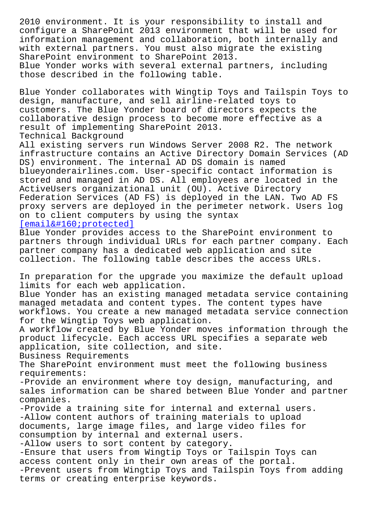configure a SharePoint 2013 environment that will be used for information management and collaboration, both internally and with external partners. You must also migrate the existing SharePoint environment to SharePoint 2013. Blue Yonder works with several external partners, including those described in the following table.

Blue Yonder collaborates with Wingtip Toys and Tailspin Toys to design, manufacture, and sell airline-related toys to customers. The Blue Yonder board of directors expects the collaborative design process to become more effective as a result of implementing SharePoint 2013. Technical Background

All existing servers run Windows Server 2008 R2. The network infrastructure contains an Active Directory Domain Services (AD DS) environment. The internal AD DS domain is named blueyonderairlines.com. User-specific contact information is stored and managed in AD DS. All employees are located in the ActiveUsers organizational unit (OU). Active Directory Federation Services (AD FS) is deployed in the LAN. Two AD FS proxy servers are deployed in the perimeter network. Users log on to client computers by using the syntax  $[email & #160; protected]$ 

Blue Yonder provides access to the SharePoint environment to partners through individual URLs for each partner company. Each partner company has a dedicated web application and site [collection. The followi](/cdn-cgi/l/email-protection)ng table describes the access URLs.

In preparation for the upgrade you maximize the default upload limits for each web application.

Blue Yonder has an existing managed metadata service containing managed metadata and content types. The content types have workflows. You create a new managed metadata service connection for the Wingtip Toys web application.

A workflow created by Blue Yonder moves information through the product lifecycle. Each access URL specifies a separate web application, site collection, and site.

Business Requirements

The SharePoint environment must meet the following business requirements:

-Provide an environment where toy design, manufacturing, and sales information can be shared between Blue Yonder and partner companies.

-Provide a training site for internal and external users. -Allow content authors of training materials to upload documents, large image files, and large video files for consumption by internal and external users.

-Allow users to sort content by category.

-Ensure that users from Wingtip Toys or Tailspin Toys can access content only in their own areas of the portal.

-Prevent users from Wingtip Toys and Tailspin Toys from adding terms or creating enterprise keywords.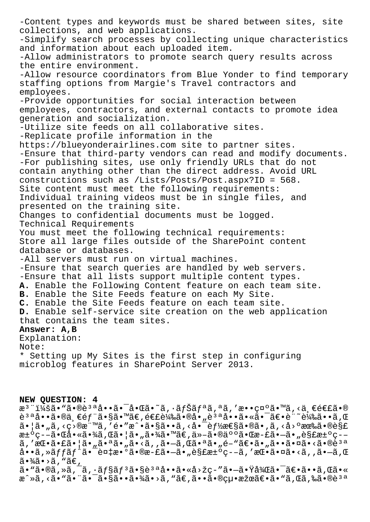-Content types and keywords must be shared between sites, site collections, and web applications. -Simplify search processes by collecting unique characteristics and information about each uploaded item. -Allow administrators to promote search query results across the entire environment. -Allow resource coordinators from Blue Yonder to find temporary staffing options from Margie's Travel contractors and employees. -Provide opportunities for social interaction between employees, contractors, and external contacts to promote idea generation and socialization. -Utilize site feeds on all collaborative sites. -Replicate profile information in the https://blueyonderairlines.com site to partner sites. -Ensure that third-party vendors can read and modify documents. -For publishing sites, use only friendly URLs that do not contain anything other than the direct address. Avoid URL constructions such as /Lists/Posts/Post.aspx?ID = 568. Site content must meet the following requirements: Individual training videos must be in single files, and presented on the training site. Changes to confidential documents must be logged. Technical Requirements You must meet the following technical requirements: Store all large files outside of the SharePoint content database or databases. -All servers must run on virtual machines. -Ensure that search queries are handled by web servers. -Ensure that all lists support multiple content types. **A.** Enable the Following Content feature on each team site. **B.** Enable the Site Feeds feature on each My Site. **C.** Enable the Site Feeds feature on each team site. **D.** Enable self-service site creation on the web application that contains the team sites. **Answer: A,B** Explanation: Note: \* Setting up My Sites is the first step in configuring microblog features in SharePoint Server 2013. **NEW QUESTION: 4**

æ<sup>3</sup> ":ã• "ã•®è<sup>3 a</sup>å••ã•<sup>-</sup>啌ã•~ã, ·ãfŠãfªã,ªã,′敕礰ã•™ã,<ä,€é€£ã•®  $\tilde{e}^{3a}$ å.  $\tilde{e}$ e a an  $\tilde{e}$   $\tilde{e}$   $\tilde{f}$  a  $\tilde{s}$  an  $\tilde{e}$  a  $\tilde{e}$  a  $\tilde{e}$  a  $\tilde{e}$  a  $\tilde{e}$  a  $\tilde{e}$  a  $\tilde{e}$  a  $\tilde{e}$  a  $\tilde{e}$  a  $\tilde{e}$  a  $\tilde{e}$  a  $\tilde{e}$  a  $\tilde{e}$  a  $\tilde{e}$ 㕦㕄る目標を镔戕㕧㕕る啯能性㕮㕂る固有㕮解  $x^{\pm}$ °ç––ã• $x^{\pm}$ ð• $x^{\pm}$ a • $x^{\pm}$ ã• $y^{\pm}$ a •  $|x^{\pm}$  •  $y^{\pm}$ a •  $x^{\pm}$ ã• $y^{\pm}$ a •  $x^{\pm}$ ā •  $y^{\pm}$ a •  $y^{\pm}$ ã, 'æ $\mathbb{E} \cdot \tilde{a} \cdot \tilde{a} \cdot \tilde{a} \cdot \tilde{a} \cdot \tilde{a} \cdot \tilde{a} \cdot \tilde{a} \cdot \tilde{a} \cdot \tilde{a} \cdot \tilde{a} \cdot \tilde{a} \cdot \tilde{a} \cdot \tilde{a} \cdot \tilde{a} \cdot \tilde{a} \cdot \tilde{a} \cdot \tilde{a} \cdot \tilde{a} \cdot \tilde{a} \cdot \tilde{a} \cdot \tilde{a} \cdot \tilde{a} \cdot \tilde{a} \cdot \tilde{a} \cdot \tilde{a} \cdot \tilde{a} \cdot$  $a \cdot a$ ,  $a \cdot f$  $f$  $f$  $f^{\circ}$  $g \cdot g$  $g = b$  $f$  $g \cdot g$  $g = b$  $g = b$ ,  $a \cdot g$  $g = b$ ,  $b$  $\tilde{a} \cdot \frac{3}{4} \tilde{a} \cdot \tilde{a}$ , " $\tilde{a} \in$ , ã• "ã•®ã, »ã, ¯ã, •ョãƒ3ã•§è3ªå••ã•«å>žç-″ã•-㕟後㕯〕ã••ã, Œã•« æ^»ã, <ã• "ã• "ã• "ã•§ã• •㕾ã• >ã, "ã€,ã• •㕮絕果〕ã• "ã, Œã, ‰ã•®è 3 a